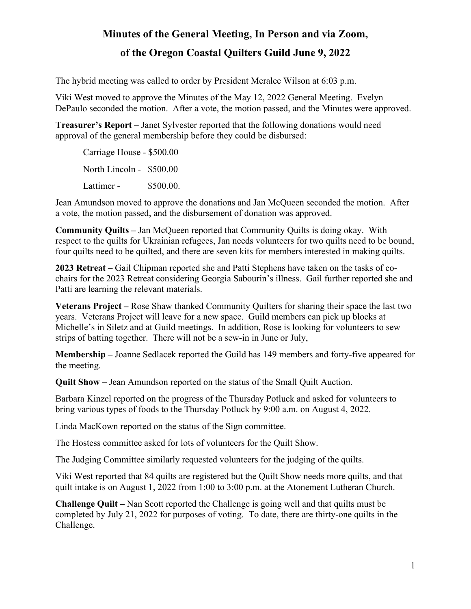## **Minutes of the General Meeting, In Person and via Zoom, of the Oregon Coastal Quilters Guild June 9, 2022**

The hybrid meeting was called to order by President Meralee Wilson at 6:03 p.m.

Viki West moved to approve the Minutes of the May 12, 2022 General Meeting. Evelyn DePaulo seconded the motion. After a vote, the motion passed, and the Minutes were approved.

**Treasurer's Report –** Janet Sylvester reported that the following donations would need approval of the general membership before they could be disbursed:

Carriage House - \$500.00 North Lincoln - \$500.00 Lattimer - \$500.00.

Jean Amundson moved to approve the donations and Jan McQueen seconded the motion. After a vote, the motion passed, and the disbursement of donation was approved.

**Community Quilts –** Jan McQueen reported that Community Quilts is doing okay. With respect to the quilts for Ukrainian refugees, Jan needs volunteers for two quilts need to be bound, four quilts need to be quilted, and there are seven kits for members interested in making quilts.

**2023 Retreat –** Gail Chipman reported she and Patti Stephens have taken on the tasks of cochairs for the 2023 Retreat considering Georgia Sabourin's illness. Gail further reported she and Patti are learning the relevant materials.

**Veterans Project –** Rose Shaw thanked Community Quilters for sharing their space the last two years. Veterans Project will leave for a new space. Guild members can pick up blocks at Michelle's in Siletz and at Guild meetings. In addition, Rose is looking for volunteers to sew strips of batting together. There will not be a sew-in in June or July,

**Membership –** Joanne Sedlacek reported the Guild has 149 members and forty-five appeared for the meeting.

**Quilt Show –** Jean Amundson reported on the status of the Small Quilt Auction.

Barbara Kinzel reported on the progress of the Thursday Potluck and asked for volunteers to bring various types of foods to the Thursday Potluck by 9:00 a.m. on August 4, 2022.

Linda MacKown reported on the status of the Sign committee.

The Hostess committee asked for lots of volunteers for the Quilt Show.

The Judging Committee similarly requested volunteers for the judging of the quilts.

Viki West reported that 84 quilts are registered but the Quilt Show needs more quilts, and that quilt intake is on August 1, 2022 from 1:00 to 3:00 p.m. at the Atonement Lutheran Church.

**Challenge Quilt –** Nan Scott reported the Challenge is going well and that quilts must be completed by July 21, 2022 for purposes of voting. To date, there are thirty-one quilts in the Challenge.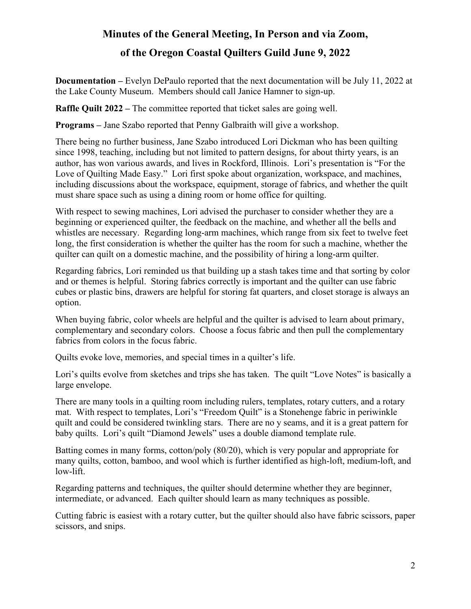#### **Minutes of the General Meeting, In Person and via Zoom,**

### **of the Oregon Coastal Quilters Guild June 9, 2022**

**Documentation –** Evelyn DePaulo reported that the next documentation will be July 11, 2022 at the Lake County Museum. Members should call Janice Hamner to sign-up.

**Raffle Quilt 2022 –** The committee reported that ticket sales are going well.

**Programs –** Jane Szabo reported that Penny Galbraith will give a workshop.

There being no further business, Jane Szabo introduced Lori Dickman who has been quilting since 1998, teaching, including but not limited to pattern designs, for about thirty years, is an author, has won various awards, and lives in Rockford, Illinois. Lori's presentation is "For the Love of Quilting Made Easy." Lori first spoke about organization, workspace, and machines, including discussions about the workspace, equipment, storage of fabrics, and whether the quilt must share space such as using a dining room or home office for quilting.

With respect to sewing machines, Lori advised the purchaser to consider whether they are a beginning or experienced quilter, the feedback on the machine, and whether all the bells and whistles are necessary. Regarding long-arm machines, which range from six feet to twelve feet long, the first consideration is whether the quilter has the room for such a machine, whether the quilter can quilt on a domestic machine, and the possibility of hiring a long-arm quilter.

Regarding fabrics, Lori reminded us that building up a stash takes time and that sorting by color and or themes is helpful. Storing fabrics correctly is important and the quilter can use fabric cubes or plastic bins, drawers are helpful for storing fat quarters, and closet storage is always an option.

When buying fabric, color wheels are helpful and the quilter is advised to learn about primary, complementary and secondary colors. Choose a focus fabric and then pull the complementary fabrics from colors in the focus fabric.

Quilts evoke love, memories, and special times in a quilter's life.

Lori's quilts evolve from sketches and trips she has taken. The quilt "Love Notes" is basically a large envelope.

There are many tools in a quilting room including rulers, templates, rotary cutters, and a rotary mat. With respect to templates, Lori's "Freedom Quilt" is a Stonehenge fabric in periwinkle quilt and could be considered twinkling stars. There are no y seams, and it is a great pattern for baby quilts. Lori's quilt "Diamond Jewels" uses a double diamond template rule.

Batting comes in many forms, cotton/poly (80/20), which is very popular and appropriate for many quilts, cotton, bamboo, and wool which is further identified as high-loft, medium-loft, and low-lift.

Regarding patterns and techniques, the quilter should determine whether they are beginner, intermediate, or advanced. Each quilter should learn as many techniques as possible.

Cutting fabric is easiest with a rotary cutter, but the quilter should also have fabric scissors, paper scissors, and snips.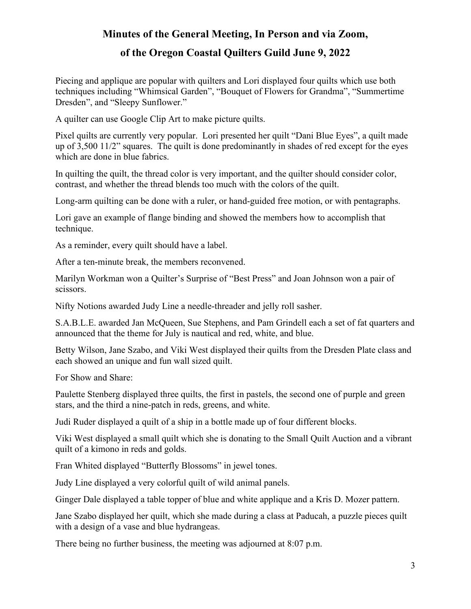#### **Minutes of the General Meeting, In Person and via Zoom,**

#### **of the Oregon Coastal Quilters Guild June 9, 2022**

Piecing and applique are popular with quilters and Lori displayed four quilts which use both techniques including "Whimsical Garden", "Bouquet of Flowers for Grandma", "Summertime Dresden", and "Sleepy Sunflower."

A quilter can use Google Clip Art to make picture quilts.

Pixel quilts are currently very popular. Lori presented her quilt "Dani Blue Eyes", a quilt made up of 3,500 11/2" squares. The quilt is done predominantly in shades of red except for the eyes which are done in blue fabrics.

In quilting the quilt, the thread color is very important, and the quilter should consider color, contrast, and whether the thread blends too much with the colors of the quilt.

Long-arm quilting can be done with a ruler, or hand-guided free motion, or with pentagraphs.

Lori gave an example of flange binding and showed the members how to accomplish that technique.

As a reminder, every quilt should have a label.

After a ten-minute break, the members reconvened.

Marilyn Workman won a Quilter's Surprise of "Best Press" and Joan Johnson won a pair of scissors.

Nifty Notions awarded Judy Line a needle-threader and jelly roll sasher.

S.A.B.L.E. awarded Jan McQueen, Sue Stephens, and Pam Grindell each a set of fat quarters and announced that the theme for July is nautical and red, white, and blue.

Betty Wilson, Jane Szabo, and Viki West displayed their quilts from the Dresden Plate class and each showed an unique and fun wall sized quilt.

For Show and Share:

Paulette Stenberg displayed three quilts, the first in pastels, the second one of purple and green stars, and the third a nine-patch in reds, greens, and white.

Judi Ruder displayed a quilt of a ship in a bottle made up of four different blocks.

Viki West displayed a small quilt which she is donating to the Small Quilt Auction and a vibrant quilt of a kimono in reds and golds.

Fran Whited displayed "Butterfly Blossoms" in jewel tones.

Judy Line displayed a very colorful quilt of wild animal panels.

Ginger Dale displayed a table topper of blue and white applique and a Kris D. Mozer pattern.

Jane Szabo displayed her quilt, which she made during a class at Paducah, a puzzle pieces quilt with a design of a vase and blue hydrangeas.

There being no further business, the meeting was adjourned at 8:07 p.m.